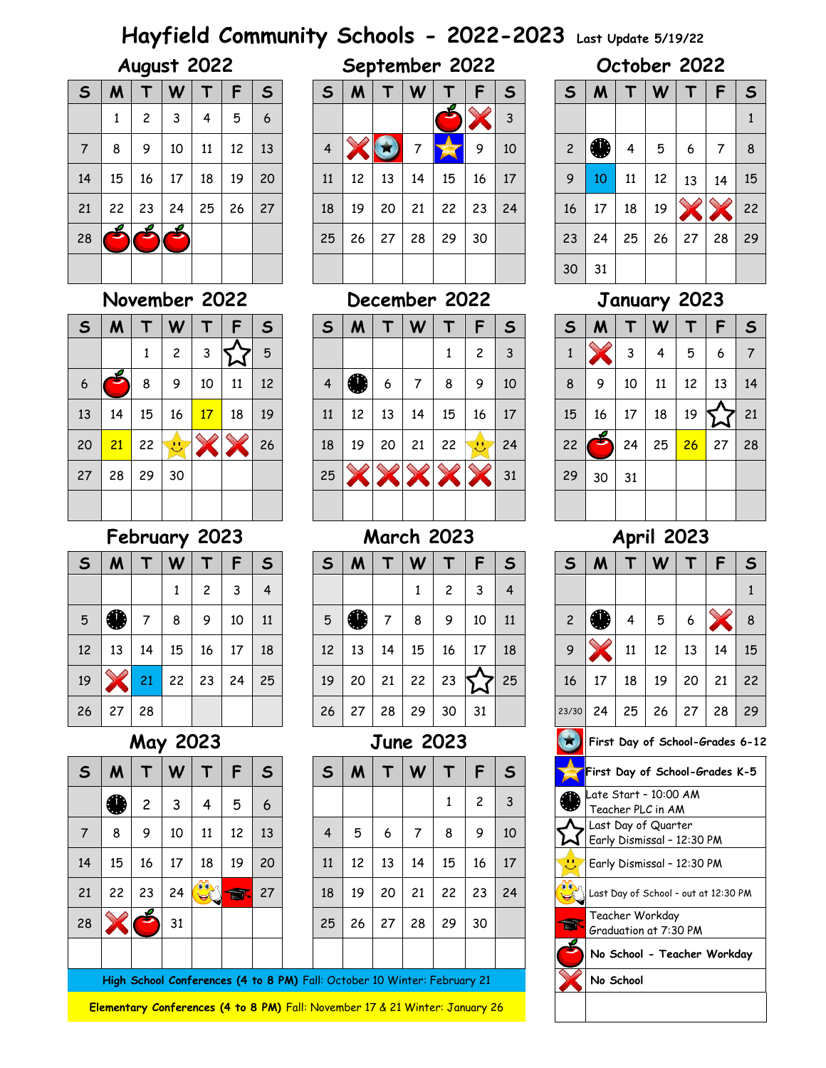# **Hayfield Community Schools - 2022-2023 Last Update 5/19/22**

| $\mathsf{S}$ | M  |                         | W  | т  | F  | $\mathsf{s}$ |
|--------------|----|-------------------------|----|----|----|--------------|
|              | 1  | $\overline{\mathbf{c}}$ | 3  | 4  | 5  | 6            |
| 7            | 8  | 9                       | 10 | 11 | 12 | 13           |
| 14           | 15 | 16                      | 17 | 18 | 19 | 20           |
| 21           | 22 | 23                      | 24 | 25 | 26 | 27           |
| 28           |    |                         |    |    |    |              |
|              |    |                         |    |    |    |              |

## **November 2022 December 2022 January 2023**

| $\mathsf{s}$ | M  |    | W  |    | F  | $\mathsf{s}$ | S  | M  |               | W  |    | F             | S  | $\mathsf{s}$ | M             |    | W  |    |    | S  |
|--------------|----|----|----|----|----|--------------|----|----|---------------|----|----|---------------|----|--------------|---------------|----|----|----|----|----|
|              |    | л  | 2  | 3  |    | 5            |    |    |               |    |    | 2             | 3  |              | $\mathscr{P}$ | 3  | 4  | 5  | 6  | 7  |
| 6            | ÷. | 8  | 9  | 10 | 11 | 12           | 4  | 41 | 6             | 7  | 8  | 9             | 10 | 8            | 9             | 10 | 11 | 12 | 13 | 14 |
| 13           | 14 | 15 | 16 | 17 | 18 | 19           | 11 | 12 | 13            | 14 | 15 | 16            | 17 | 15           | 16            | 17 | 18 | 19 | ∼  | 21 |
| 20           | 21 | 22 | 99 |    |    | 26           | 18 | 19 | 20            | 21 | 22 | $\mathcal{L}$ | 24 | 22           | ⊃             | 24 | 25 | 26 | 27 | 28 |
| 27           | 28 | 29 | 30 |    |    |              | 25 |    | $\rightarrow$ |    |    |               | 31 | 29           | 30            | 31 |    |    |    |    |
|              |    |    |    |    |    |              |    |    |               |    |    |               |    |              |               |    |    |    |    |    |

## **February 2023 March 2023 April 2023**

| $\mathsf{S}$ | M  | Г  | W  | т              | F  | $\mathsf{S}$ |
|--------------|----|----|----|----------------|----|--------------|
|              |    |    | 1  | $\overline{c}$ | 3  | 4            |
| 5            | ♥  | 7  | 8  | 9              | 10 | 11           |
| 12           | 13 | 14 | 15 | 16             | 17 | 18           |
| 19           |    | 21 | 22 | 23             | 24 | 25           |
| 26           | 27 | 28 |    |                |    |              |

## **May 2023 June 2023 First Day of School-Grades 6-12**

| $\mathsf{S}$ | M  |                | W  | Т  | F  | $\mathsf{S}$ |
|--------------|----|----------------|----|----|----|--------------|
|              |    | $\overline{c}$ | 3  | 4  | 5  | 6            |
| 7            | 8  | 9              | 10 | 11 | 12 | 13           |
| 14           | 15 | 16             | 17 | 18 | 19 | 20           |
| 21           | 22 | 23             | 24 |    |    | 27           |
| 28           |    |                | 31 |    |    |              |
|              |    |                |    |    |    |              |

High School Conferences (4 to 8 PM) Fall: October 10 Winter: February 21

**Elementary Conferences (4 to 8 PM)** Fall: November 17 & 21 Winter: January 26

| August 2022 | September 2022 | October 2022 |
|-------------|----------------|--------------|
|             |                |              |

|              |    | . . – <u>. .</u> |    |    |    |    |  |    |    |    |    |    |    |    |  |    |    |    |    |    |    |    |
|--------------|----|------------------|----|----|----|----|--|----|----|----|----|----|----|----|--|----|----|----|----|----|----|----|
| $\mathsf{s}$ | M  |                  | W  |    |    | S  |  | S  | M  |    | W  |    |    | S  |  | S  | M  |    | W  |    |    |    |
|              | Ŧ. | 2                | 3  | 4  | 5  | 6  |  |    |    |    |    |    |    | 3  |  |    |    |    |    |    |    |    |
| 7            | 8  | 9                | 10 | 11 | 12 | 13 |  | 4  |    |    |    |    | 9  | 10 |  | 2  |    | 4  | 5  | 6  | 7  | 8  |
| 14           | 15 | 16               | 17 | 18 | 19 | 20 |  | 11 | 12 | 13 | 14 | 15 | 16 | 17 |  | 9  | 10 | 11 | 12 | 13 | 14 | 15 |
| 21           | 22 | 23               | 24 | 25 | 26 | 27 |  | 18 | 19 | 20 | 21 | 22 | 23 | 24 |  | 16 | 17 | 18 | 19 |    |    | 22 |
| 28           | ÷. |                  |    |    |    |    |  | 25 | 26 | 27 | 28 | 29 | 30 |    |  | 23 | 24 | 25 | 26 | 27 | 28 | 29 |
|              |    |                  |    |    |    |    |  |    |    |    |    |    |    |    |  | 30 | 31 |    |    |    |    |    |

|                | W            |    |    | S  | $\mathsf{s}$   | M  |    | W  |    | F              | $\mathsf{s}$ | S  | M  |    | W  |    |    |    |
|----------------|--------------|----|----|----|----------------|----|----|----|----|----------------|--------------|----|----|----|----|----|----|----|
| 1              | $\mathbf{2}$ | 3  |    | 5  |                |    |    |    | 1  | 2              | 3            |    |    | 3  | 4  | 5  | 6  |    |
| 8              | 9            | 10 | 11 | 12 | $\overline{4}$ | A  | 6  | 7  | 8  | 9              | 10           | 8  | 9  | 10 | 11 | 12 | 13 | 14 |
| 5              | 16           | 17 | 18 | 19 | 11             | 12 | 13 | 14 | 15 | 16             | 17           | 15 | 16 | 17 | 18 | 19 |    | 21 |
| $\overline{2}$ | 99           |    |    | 26 | 18             | 19 | 20 | 21 | 22 | $\ddot{\circ}$ | 24           | 22 |    | 24 | 25 | 26 | 27 | 28 |
| و.             | 30           |    |    |    | 25             |    |    |    |    |                | 31           | 29 | 30 | 31 |    |    |    |    |
|                |              |    |    |    |                |    |    |    |    |                |              |    |    |    |    |    |    |    |

| S               | M                               |                            | W                                                 |    | F                                    | $\mathsf{s}$ |  |  |  |  |  |  |  |  |  |
|-----------------|---------------------------------|----------------------------|---------------------------------------------------|----|--------------------------------------|--------------|--|--|--|--|--|--|--|--|--|
|                 |                                 |                            |                                                   |    |                                      | $\mathbf{1}$ |  |  |  |  |  |  |  |  |  |
| 2               |                                 | 4                          | 5                                                 | 6  |                                      | 8            |  |  |  |  |  |  |  |  |  |
| 9               |                                 | 11                         | 12                                                | 13 | 14                                   | 15           |  |  |  |  |  |  |  |  |  |
| 16              | 17                              | 18                         | 19                                                | 20 | 21                                   | 22           |  |  |  |  |  |  |  |  |  |
| 23/30           | 24                              | 25<br>27<br>28<br>29<br>26 |                                                   |    |                                      |              |  |  |  |  |  |  |  |  |  |
| $\star$         | First Day of School-Grades 6-12 |                            |                                                   |    |                                      |              |  |  |  |  |  |  |  |  |  |
|                 | First Day of School-Grades K-5  |                            |                                                   |    |                                      |              |  |  |  |  |  |  |  |  |  |
|                 |                                 |                            | Late Start - 10:00 AM<br>Teacher PLC in AM        |    |                                      |              |  |  |  |  |  |  |  |  |  |
|                 |                                 |                            | Last Day of Quarter<br>Early Dismissal - 12:30 PM |    |                                      |              |  |  |  |  |  |  |  |  |  |
| ×,              |                                 |                            | Early Dismissal - 12:30 PM                        |    |                                      |              |  |  |  |  |  |  |  |  |  |
| 0 <sup>10</sup> |                                 |                            |                                                   |    | Last Day of School - out at 12:30 PM |              |  |  |  |  |  |  |  |  |  |
|                 |                                 |                            | Teacher Workday<br>Graduation at 7:30 PM          |    |                                      |              |  |  |  |  |  |  |  |  |  |
|                 |                                 |                            |                                                   |    | No School - Teacher Workday          |              |  |  |  |  |  |  |  |  |  |
|                 |                                 | No School                  |                                                   |    |                                      |              |  |  |  |  |  |  |  |  |  |
|                 |                                 |                            |                                                   |    |                                      |              |  |  |  |  |  |  |  |  |  |

|    |    |    |                   |                 | ∽  | $\mathbf{b}$ |    |    |    |    |    | 2            | 3  |    |           |    | 4  | b                 | -6 |    |
|----|----|----|-------------------|-----------------|----|--------------|----|----|----|----|----|--------------|----|----|-----------|----|----|-------------------|----|----|
| 6  | ÷. | 8  | 9                 | 10              | 11 | 12           | 4  |    | 6  |    | 8  | 9            | 10 | 8  | 9         | 10 | 11 | $12 \overline{ }$ | 13 | 14 |
| 13 | 14 | 15 | 16                | 17 <sub>1</sub> | 18 | 19           | 11 | 12 | 13 | 14 | 15 | 16           | 17 | 15 | 16        | 17 | 18 | 19                |    | 21 |
| 20 | 21 | 22 | $\bullet \bullet$ |                 |    | 26           | 18 | 19 | 20 | 21 | 22 | $\mathbf{C}$ | 24 | 22 | $\bullet$ | 24 | 25 | 26                | 27 | 28 |
| 27 | 28 | 29 | 30                |                 |    |              | 25 |    |    |    |    |              | 31 | 29 | 30        | 31 |    |                   |    |    |
|    |    |    |                   |                 |    |              |    |    |    |    |    |              |    |    |           |    |    |                   |    |    |

| $\mathsf{s}$    | M  |    | W  |    | F  | $\mathbf{S}$   | S  | M  |    | W  |    | F  | $\mathsf{s}$ | S              | M  |    | W  |    |    | ∣ S |
|-----------------|----|----|----|----|----|----------------|----|----|----|----|----|----|--------------|----------------|----|----|----|----|----|-----|
|                 |    |    |    | 2  | 3  | $\overline{4}$ |    |    |    |    | 2  | 3  | 4            |                |    |    |    |    |    |     |
| $5\overline{)}$ |    |    | 8  | 9  | 10 | 11             | 5  |    | 7  | 8  | 9  | 10 | 11           | $\overline{c}$ | ☎  | 4  | 5  | 6  |    | -8  |
| 12 <sup>2</sup> | 13 | 14 | 15 | 16 | 17 | 18             | 12 | 13 | 14 | 15 | 16 | 17 | 18           | 9              |    | 11 | 12 | 13 | 14 | 15  |
| 19              |    | 21 | 22 | 23 | 24 | 25             | 19 | 20 | 21 | 22 | 23 | ∼  | 25           | 16             | 17 | 18 | 19 | 20 | 21 | -22 |
| 26              | 27 | 28 |    |    |    |                | 26 | 27 | 28 | 29 | 30 | 31 |              | 23/30          | 24 | 25 | 26 | 27 | 28 | 25  |

| S  | M  |    | W  |                                              | F  | $\mathsf{s}$ | S  | M  |    | W  |    |    | S  |           | First Day of School-Grades K-5                    |
|----|----|----|----|----------------------------------------------|----|--------------|----|----|----|----|----|----|----|-----------|---------------------------------------------------|
|    | 4  | 2  |    | 4                                            | 5  | 6            |    |    |    |    |    | 2  | 3  | ☎         | Late Start - 10:00 AM<br>Teacher PLC in AM        |
| 7  | 8  | 9  | 10 | 11                                           | 12 | 13           | 4  | 5  | 6  |    | 8  | 9  | 10 |           | Last Day of Quarter<br>Early Dismissal - 12:30 PM |
| 14 | 15 | 16 | 17 | 18                                           | 19 | 20           | 11 | 12 | 13 | 14 | 15 | 16 | 17 | 25        | Early Dismissal - 12:30 PM                        |
| 21 | 22 | 23 | 24 | $\delta \mathbf{\hat{e}}_{\mathcal{M}}$<br>◛ |    | 27           | 18 | 19 | 20 | 21 | 22 | 23 | 24 |           | Last Day of School - out at 12:30 PM              |
| 28 |    |    | 31 |                                              |    |              | 25 | 26 | 27 | 28 | 29 | 30 |    | <b>ST</b> | Teacher Workday<br>Graduation at 7:30 PM          |
|    |    |    |    |                                              |    |              |    |    |    |    |    |    |    | Ł         | No School - Teacher Workday                       |